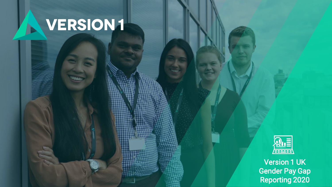# **VERSION1**

1 Copyright ©2019 Version 1. All rights reserved.



Version 1 UK Gender Pay Gap Reporting 2020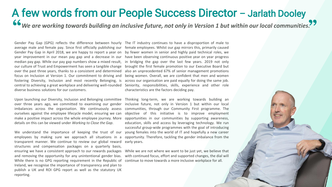## *We are working towards building an inclusive future, not only in Version 1 but within our local communities.* A few words from our People Success Director – Jarlath Dooley

average male and female pay. Since first officially publishing our female employees. Whilst our gap mirrors this, primarily caused Gender Pay Gap in April 2018, we are happy to report a year on by fewer women in senior and highly paid technical roles, we year improvement in our mean pay gap and a decrease in our median pay gap. While our pay gap numbers show a mixed result, our culture of Trust and Empowerment has seen a tangible change over the past three years, thanks to a consistent and determined also an unprecedented 67% of senior management promotions focus on Inclusion at Version 1. Our commitment to driving and fostering Diversity, Inclusion and most recently Belonging, is central to achieving a great workplace and delivering well-rounded Seniority, responsibilities, skills, experience and other role diverse business solutions for our customers.

Upon launching our Diversity, Inclusion and Belonging committee Thinking long-term, we are working towards building an over three years ago, we committed to examining our gender imbalances across the organisation. We continuously assess ourselves against the employee lifecycle model, ensuring we can make a positive impact across the whole employee journey. More details on this can be viewed under *Working to Close the Gap*.

We understand the importance of keeping the trust of our employees by making sure we approach all situations in a opportunity. Therefore, tackling the gender imbalance from the transparent manner. We continue to review our global reward early years. structures and compensation packages on a quarterly basis, ensuring we have a consistent approach to our rewards packages and removing the opportunity for any unintentional gender bias. While there is no GPG reporting requirement in the Republic of continue to move towards a more inclusive workplace for all. Ireland, we recognise the importance of transparency and plan to publish a UK and ROI GPG report as well as the statutory UK reporting.

Gender Pay Gap (GPG) reflects the difference between hourly The IT industry continues to have a disproportion of male to have been observing continuous positive year on year progress in bridging the gap over the last few years. 2019 not only brought the first female promotion to our Executive Board but being women. Overall, we are confident that men and women across our organisation are paid equally for doing the same job. characteristics are the factors deciding pay.

> inclusive future, not only in Version 1 but within our local communities, through our Community First programme. The objective of this initiative is to improve employment opportunities in our communities by supporting awareness, education, skills and access by leveraging technology. We run successful group-wide programmes with the goal of introducing young females into the world of IT and hopefully a new career

> While we are not where we want to be just yet, we believe that with continued focus, effort and supported changes, the dial will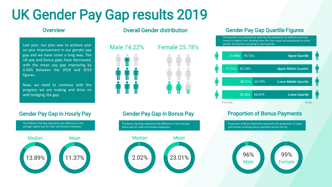# UK Gender Pay Gap results 2019

### **Overview**

Last year, our plan was to achieve year on year improvement in our gender pay gap and we have come a long way. The UK pay and bonus gaps have decreased, with the mean pay gap improving by 4.43% between the 2018 and 2019 figures.

Now, we need to continue with the progress we are making and drive on with bridging the gap.

The Ordinary Pay Gap represents the difference in the average regular pay for male and female employees. Median Mean 13.89% 11.37%



### **Female 25,78%**



### Gender Pay Gap in Hourly Pay Gender Pay Gap in Bonus Pay

The Bonus Pay Gap represents the difference in the average bonus pay for male and female employees. Median Mean 23.01% 2.02%

### Overall Gender distribution Gender Pay Gap Quartile Figures

Pay quartiles are prepared by ordering the population by ordinary pay from lowest to highest then dividing them into four equal sub-populations to show gender distribution according to each quartile.



## Proportion of Bonus Payments

Proportion of Bonus Payments represents the proportion of males and females receiving bonus payments across the UK.

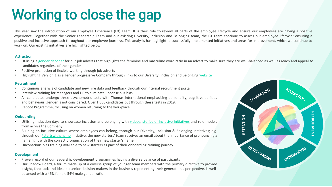# Working to close the gap

This year saw the introduction of our Employee Experience (EX) Team. It is their role to review all parts of the employee lifecycle and ensure our employees are having a positive experience. Together with the Senior Leadership Team and our existing Diversity, Inclusion and Belonging team, the EX Team continue to assess our employee lifecycle; ensuring a positive and inclusive approach throughout our employee journeys. This analysis has highlighted successfully implemented initiatives and areas for improvement, which we continue to work on. Our existing initiatives are highlighted below.

#### **Attraction**

- Utilising a gender [decoder](http://gender-decoder.katmatfield.com/) for our job adverts that highlights the feminine and masculine word ratio in an advert to make sure they are well-balanced as well as reach and appeal to candidates regardless of their gender
- Positive promotion of flexible working through job adverts
- Highlighting Version 1 as a gender progressive Company through links to our Diversity, Inclusion and Belonging [website](https://www.version1.com/careers/diversity-inclusion-belonging/)

#### **Recruitment**

- Continuous analysis of candidate and new hire data and feedback through our internal recruitment portal
- Interview training for managers and HR to eliminate unconscious bias
- All candidates undergo three psychometric tests with Thomas International emphasising personality, cognitive abilities and behaviour, gender is not considered. Over 1,000 candidates put through these tests in 2019.
- Reboot Programme, focusing on women returning to the workplace

### **Onboarding**

- Utilising induction days to showcase inclusion and belonging with [videos](https://www.youtube.com/watch?v=jPr24F_4rdo), stories of inclusive [initiatives](https://www.youtube.com/watch?v=byBg7h0Eyoo) and role models from across the Company
- Building an inclusive culture where employees can belong, through our Diversity, Inclusion & Belonging initiatives; e.g. through our [#startswithaname](https://www.youtube.com/watch?v=yJiLa6F6hhQ) initiative, the new starters' team receives an email about the importance of pronouncing a name right with the correct pronunciation of their new starter's name
- Unconscious bias training available to new starters as part of their onboarding training journey

### **Development**

- Proven record of our leadership development programmes having a diverse balance of participants
- Our Shadow Board, a forum made up of a diverse group of younger team members with the primary directive to provide insight, feedback and ideas to senior decision-makers in the business representing their generation's perspective, is wellbalanced with a 46% female 54% male gender ratio

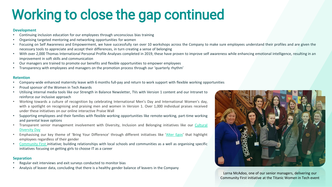# Working to close the gap continued

#### **Development**

- Continuing inclusion education for our employees through unconscious bias training
- Organising targeted mentoring and networking opportunities for women
- Focusing on Self Awareness and Empowerment, we have successfully ran over 10 workshops across the Company to make sure employees understand their profiles and are given the necessary tools to appreciate and accept their differences, in turn creating a sense of belonging
- With over 2,000 Thomas International Personal Profile Analyses completed in 2019, these have proven to improve self awareness while enhancing emotional intelligence, resulting in an improvement in soft skills and communication
- Our managers are trained to promote our benefits and flexible opportunities to empower employees
- Transparency with employees and managers on the promotion process through our 'quarterly rhythm'

#### **Retention**

- Company-wide enhanced maternity leave with 6 months full-pay and return to work support with flexible working opportunities
- Proud sponsor of the Women in Tech Awards
- Utilising internal media tools like our Strength in Balance Newsletter, TVs with Version 1 content and our Intranet to reinforce our inclusive approach
- Working towards a culture of recognition by celebrating International Men's Day and International Women's day, with a spotlight on recognising and praising men and women in Version 1. Over 1,000 individual praises received under these initiatives on our online interactive Praise Wall
- Supporting employees and their families with flexible working opportunities like remote-working, part-time working and parental leave options
- Transparent senior [management](https://www.youtube.com/watch?v=oDK5qKadN-I&t=17s) involvement with Diversity, Inclusion and Belonging initiatives like our Cultural Diversity Day
- Emphasising our key theme of 'Bring Your Difference' through different initiatives like '[Alter](https://www.youtube.com/watch?v=KUVsq2TFK1s) Egos' that highlight employees regardless of their gender
- [Community](https://www.version1.com/csr/) First initiative; building relationships with local schools and communities as a well as organising specific initiatives focusing on getting girls to choose IT as a career

### **Separation**

- Regular exit interviews and exit surveys conducted to monitor bias
- Analysis of leaver data, concluding that there is a healthy gender balance of leavers in the Company



Lorna McAdoo, one of our senior managers, delivering our Community First initiative at the Titanic Women in Tech event